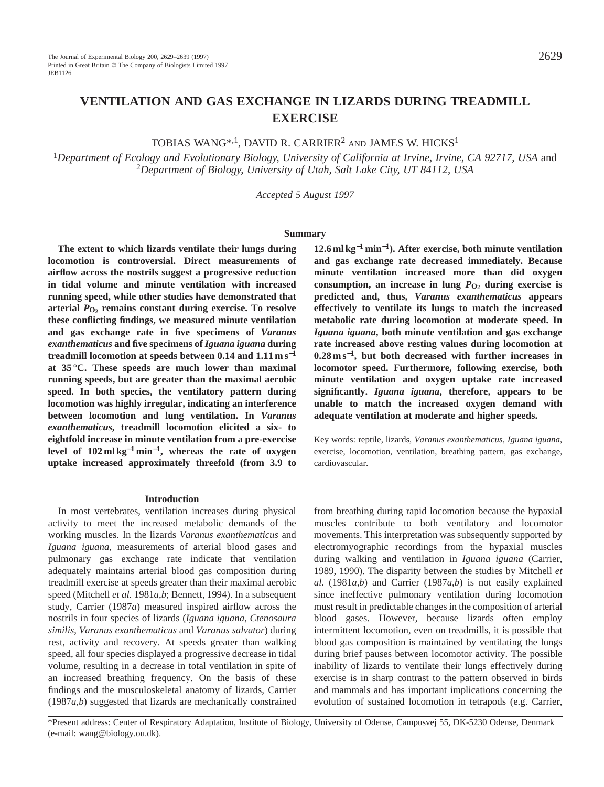# **VENTILATION AND GAS EXCHANGE IN LIZARDS DURING TREADMILL EXERCISE**

TOBIAS WANG\*,1, DAVID R. CARRIER2 AND JAMES W. HICKS1

<sup>1</sup>*Department of Ecology and Evolutionary Biology, University of California at Irvine, Irvine, CA 92717, USA* and <sup>2</sup>*Department of Biology, University of Utah, Salt Lake City, UT 84112, USA*

*Accepted 5 August 1997*

#### **Summary**

**The extent to which lizards ventilate their lungs during locomotion is controversial. Direct measurements of airflow across the nostrils suggest a progressive reduction in tidal volume and minute ventilation with increased running speed, while other studies have demonstrated that arterial** *P***O2 remains constant during exercise. To resolve these conflicting findings, we measured minute ventilation and gas exchange rate in five specimens of** *Varanus exanthematicus* **and five specimens of** *Iguana iguana* **during treadmill locomotion at speeds between 0.14 and 1.11 m s**−**<sup>1</sup> at 35 °C. These speeds are much lower than maximal running speeds, but are greater than the maximal aerobic speed. In both species, the ventilatory pattern during locomotion was highly irregular, indicating an interference between locomotion and lung ventilation. In** *Varanus exanthematicus***, treadmill locomotion elicited a six- to eightfold increase in minute ventilation from a pre-exercise level of 102 ml kg**−**<sup>1</sup> min**<sup>−</sup>**1, whereas the rate of oxygen uptake increased approximately threefold (from 3.9 to**

#### **Introduction**

In most vertebrates, ventilation increases during physical activity to meet the increased metabolic demands of the working muscles. In the lizards *Varanus exanthematicus* and *Iguana iguana*, measurements of arterial blood gases and pulmonary gas exchange rate indicate that ventilation adequately maintains arterial blood gas composition during treadmill exercise at speeds greater than their maximal aerobic speed (Mitchell *et al.* 1981*a*,*b*; Bennett, 1994). In a subsequent study, Carrier (1987*a*) measured inspired airflow across the nostrils in four species of lizards (*Iguana iguana*, *Ctenosaura similis*, *Varanus exanthematicus* and *Varanus salvator*) during rest, activity and recovery. At speeds greater than walking speed, all four species displayed a progressive decrease in tidal volume, resulting in a decrease in total ventilation in spite of an increased breathing frequency. On the basis of these findings and the musculoskeletal anatomy of lizards, Carrier (1987*a*,*b*) suggested that lizards are mechanically constrained

**12.6 ml kg**−**<sup>1</sup> min**<sup>−</sup>**1). After exercise, both minute ventilation and gas exchange rate decreased immediately. Because minute ventilation increased more than did oxygen** consumption, an increase in lung  $P_{\text{O}_2}$  during exercise is **predicted and, thus,** *Varanus exanthematicus* **appears effectively to ventilate its lungs to match the increased metabolic rate during locomotion at moderate speed. In** *Iguana iguana***, both minute ventilation and gas exchange rate increased above resting values during locomotion at 0.28 m s**<sup>−</sup>**1, but both decreased with further increases in locomotor speed. Furthermore, following exercise, both minute ventilation and oxygen uptake rate increased significantly.** *Iguana iguana***, therefore, appears to be unable to match the increased oxygen demand with adequate ventilation at moderate and higher speeds.**

Key words: reptile, lizards, *Varanus exanthematicus*, *Iguana iguana*, exercise, locomotion, ventilation, breathing pattern, gas exchange, cardiovascular.

from breathing during rapid locomotion because the hypaxial muscles contribute to both ventilatory and locomotor movements. This interpretation was subsequently supported by electromyographic recordings from the hypaxial muscles during walking and ventilation in *Iguana iguana* (Carrier, 1989, 1990). The disparity between the studies by Mitchell *et al.* (1981*a*,*b*) and Carrier (1987*a*,*b*) is not easily explained since ineffective pulmonary ventilation during locomotion must result in predictable changes in the composition of arterial blood gases. However, because lizards often employ intermittent locomotion, even on treadmills, it is possible that blood gas composition is maintained by ventilating the lungs during brief pauses between locomotor activity. The possible inability of lizards to ventilate their lungs effectively during exercise is in sharp contrast to the pattern observed in birds and mammals and has important implications concerning the evolution of sustained locomotion in tetrapods (e.g. Carrier,

\*Present address: Center of Respiratory Adaptation, Institute of Biology, University of Odense, Campusvej 55, DK-5230 Odense, Denmark (e-mail: wang@biology.ou.dk).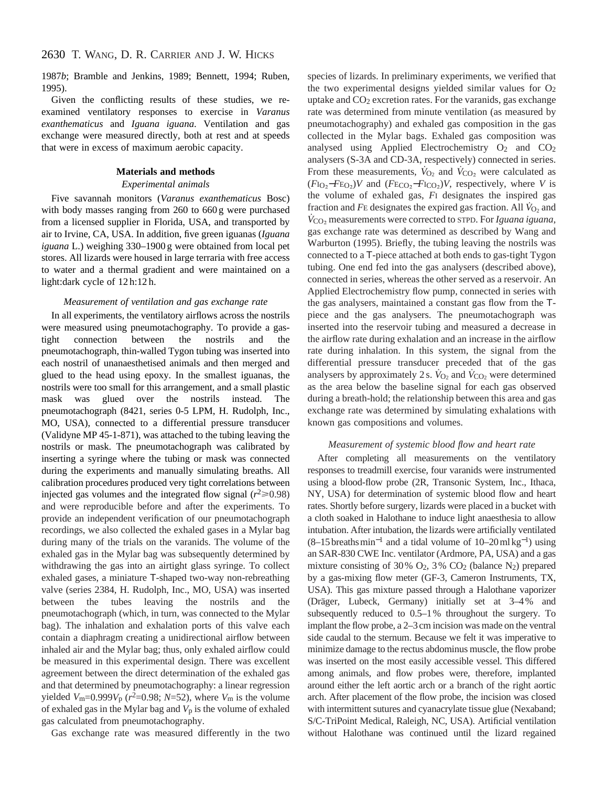1987*b*; Bramble and Jenkins, 1989; Bennett, 1994; Ruben, 1995).

Given the conflicting results of these studies, we reexamined ventilatory responses to exercise in *Varanus exanthematicus* and *Iguana iguana*. Ventilation and gas exchange were measured directly, both at rest and at speeds that were in excess of maximum aerobic capacity.

#### **Materials and methods**

#### *Experimental animals*

Five savannah monitors (*Varanus exanthematicus* Bosc) with body masses ranging from 260 to 660 g were purchased from a licensed supplier in Florida, USA, and transported by air to Irvine, CA, USA. In addition, five green iguanas (*Iguana iguana* L.) weighing 330–1900 g were obtained from local pet stores. All lizards were housed in large terraria with free access to water and a thermal gradient and were maintained on a light:dark cycle of 12 h:12 h.

#### *Measurement of ventilation and gas exchange rate*

In all experiments, the ventilatory airflows across the nostrils were measured using pneumotachography. To provide a gastight connection between the nostrils and the pneumotachograph, thin-walled Tygon tubing was inserted into each nostril of unanaesthetised animals and then merged and glued to the head using epoxy. In the smallest iguanas, the nostrils were too small for this arrangement, and a small plastic mask was glued over the nostrils instead. The pneumotachograph (8421, series 0-5 LPM, H. Rudolph, Inc., MO, USA), connected to a differential pressure transducer (Validyne MP 45-1-871), was attached to the tubing leaving the nostrils or mask. The pneumotachograph was calibrated by inserting a syringe where the tubing or mask was connected during the experiments and manually simulating breaths. All calibration procedures produced very tight correlations between injected gas volumes and the integrated flow signal  $(r^2 \ge 0.98)$ and were reproducible before and after the experiments. To provide an independent verification of our pneumotachograph recordings, we also collected the exhaled gases in a Mylar bag during many of the trials on the varanids. The volume of the exhaled gas in the Mylar bag was subsequently determined by withdrawing the gas into an airtight glass syringe. To collect exhaled gases, a miniature T-shaped two-way non-rebreathing valve (series 2384, H. Rudolph, Inc., MO, USA) was inserted between the tubes leaving the nostrils and the pneumotachograph (which, in turn, was connected to the Mylar bag). The inhalation and exhalation ports of this valve each contain a diaphragm creating a unidirectional airflow between inhaled air and the Mylar bag; thus, only exhaled airflow could be measured in this experimental design. There was excellent agreement between the direct determination of the exhaled gas and that determined by pneumotachography: a linear regression yielded  $V_{\text{m}}$ =0.999 $V_{\text{p}}$  ( $r^2$ =0.98;  $N$ =52), where  $V_{\text{m}}$  is the volume of exhaled gas in the Mylar bag and *V*p is the volume of exhaled gas calculated from pneumotachography.

Gas exchange rate was measured differently in the two

species of lizards. In preliminary experiments, we verified that the two experimental designs yielded similar values for  $O<sub>2</sub>$ uptake and CO2 excretion rates. For the varanids, gas exchange rate was determined from minute ventilation (as measured by pneumotachography) and exhaled gas composition in the gas collected in the Mylar bags. Exhaled gas composition was analysed using Applied Electrochemistry  $O_2$  and  $CO_2$ analysers (S-3A and CD-3A, respectively) connected in series. From these measurements,  $\dot{V}_{\text{O}_2}$  and  $\dot{V}_{\text{CO}_2}$  were calculated as (*F*IO∑−*F*EO∑)*V* and (*F*ECO∑−*F*ICO∑)*V*, respectively, where *V* is the volume of exhaled gas, *F*I designates the inspired gas fraction and  $F_{\text{E}}$  designates the expired gas fraction. All  $\dot{V}_{\text{O}_2}$  and *V*<sup>CO2</sup> measurements were corrected to STPD. For *Iguana iguana*, gas exchange rate was determined as described by Wang and Warburton (1995). Briefly, the tubing leaving the nostrils was connected to a T-piece attached at both ends to gas-tight Tygon tubing. One end fed into the gas analysers (described above), connected in series, whereas the other served as a reservoir. An Applied Electrochemistry flow pump, connected in series with the gas analysers, maintained a constant gas flow from the Tpiece and the gas analysers. The pneumotachograph was inserted into the reservoir tubing and measured a decrease in the airflow rate during exhalation and an increase in the airflow rate during inhalation. In this system, the signal from the differential pressure transducer preceded that of the gas analysers by approximately 2 s.  $\dot{V}_{\text{O}_2}$  and  $\dot{V}_{\text{CO}_2}$  were determined as the area below the baseline signal for each gas observed during a breath-hold; the relationship between this area and gas exchange rate was determined by simulating exhalations with known gas compositions and volumes.

#### *Measurement of systemic blood flow and heart rate*

After completing all measurements on the ventilatory responses to treadmill exercise, four varanids were instrumented using a blood-flow probe (2R, Transonic System, Inc., Ithaca, NY, USA) for determination of systemic blood flow and heart rates. Shortly before surgery, lizards were placed in a bucket with a cloth soaked in Halothane to induce light anaesthesia to allow intubation. After intubation, the lizards were artificially ventilated  $(8–15 \text{ breaths min}^{-1}$  and a tidal volume of 10–20ml kg<sup>-1</sup>) using an SAR-830 CWE Inc. ventilator (Ardmore, PA, USA) and a gas mixture consisting of 30%  $O_2$ , 3%  $CO_2$  (balance N<sub>2</sub>) prepared by a gas-mixing flow meter (GF-3, Cameron Instruments, TX, USA). This gas mixture passed through a Halothane vaporizer (Dräger, Lubeck, Germany) initially set at 3–4% and subsequently reduced to 0.5–1% throughout the surgery. To implant the flow probe, a 2–3cm incision was made on the ventral side caudal to the sternum. Because we felt it was imperative to minimize damage to the rectus abdominus muscle, the flow probe was inserted on the most easily accessible vessel. This differed among animals, and flow probes were, therefore, implanted around either the left aortic arch or a branch of the right aortic arch. After placement of the flow probe, the incision was closed with intermittent sutures and cyanacrylate tissue glue (Nexaband; S/C-TriPoint Medical, Raleigh, NC, USA). Artificial ventilation without Halothane was continued until the lizard regained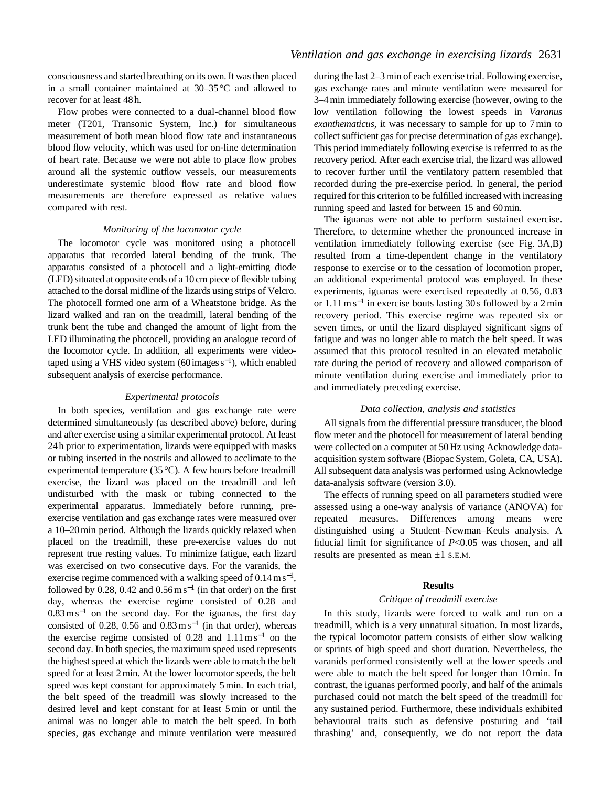consciousness and started breathing on its own. It was then placed in a small container maintained at 30–35°C and allowed to recover for at least 48h.

Flow probes were connected to a dual-channel blood flow meter (T201, Transonic System, Inc.) for simultaneous measurement of both mean blood flow rate and instantaneous blood flow velocity, which was used for on-line determination of heart rate. Because we were not able to place flow probes around all the systemic outflow vessels, our measurements underestimate systemic blood flow rate and blood flow measurements are therefore expressed as relative values compared with rest.

#### *Monitoring of the locomotor cycle*

The locomotor cycle was monitored using a photocell apparatus that recorded lateral bending of the trunk. The apparatus consisted of a photocell and a light-emitting diode (LED) situated at opposite ends of a 10cm piece of flexible tubing attached to the dorsal midline of the lizards using strips of Velcro. The photocell formed one arm of a Wheatstone bridge. As the lizard walked and ran on the treadmill, lateral bending of the trunk bent the tube and changed the amount of light from the LED illuminating the photocell, providing an analogue record of the locomotor cycle. In addition, all experiments were videotaped using a VHS video system (60 images  $s^{-1}$ ), which enabled subsequent analysis of exercise performance.

#### *Experimental protocols*

In both species, ventilation and gas exchange rate were determined simultaneously (as described above) before, during and after exercise using a similar experimental protocol. At least 24 h prior to experimentation, lizards were equipped with masks or tubing inserted in the nostrils and allowed to acclimate to the experimental temperature (35 °C). A few hours before treadmill exercise, the lizard was placed on the treadmill and left undisturbed with the mask or tubing connected to the experimental apparatus. Immediately before running, preexercise ventilation and gas exchange rates were measured over a 10–20 min period. Although the lizards quickly relaxed when placed on the treadmill, these pre-exercise values do not represent true resting values. To minimize fatigue, each lizard was exercised on two consecutive days. For the varanids, the exercise regime commenced with a walking speed of  $0.14 \text{ m s}^{-1}$ , followed by 0.28, 0.42 and  $0.56 \text{ m s}^{-1}$  (in that order) on the first day, whereas the exercise regime consisted of 0.28 and  $0.83 \text{ m s}^{-1}$  on the second day. For the iguanas, the first day consisted of 0.28, 0.56 and  $0.83 \text{ m s}^{-1}$  (in that order), whereas the exercise regime consisted of  $0.28$  and  $1.11 \text{ m s}^{-1}$  on the second day. In both species, the maximum speed used represents the highest speed at which the lizards were able to match the belt speed for at least 2 min. At the lower locomotor speeds, the belt speed was kept constant for approximately 5 min. In each trial, the belt speed of the treadmill was slowly increased to the desired level and kept constant for at least 5 min or until the animal was no longer able to match the belt speed. In both species, gas exchange and minute ventilation were measured during the last 2–3 min of each exercise trial. Following exercise, gas exchange rates and minute ventilation were measured for 3–4 min immediately following exercise (however, owing to the low ventilation following the lowest speeds in *Varanus exanthematicus*, it was necessary to sample for up to 7 min to collect sufficient gas for precise determination of gas exchange). This period immediately following exercise is referrred to as the recovery period. After each exercise trial, the lizard was allowed to recover further until the ventilatory pattern resembled that recorded during the pre-exercise period. In general, the period required for this criterion to be fulfilled increased with increasing running speed and lasted for between 15 and 60 min.

The iguanas were not able to perform sustained exercise. Therefore, to determine whether the pronounced increase in ventilation immediately following exercise (see Fig. 3A,B) resulted from a time-dependent change in the ventilatory response to exercise or to the cessation of locomotion proper, an additional experimental protocol was employed. In these experiments, iguanas were exercised repeatedly at 0.56, 0.83 or 1.11 m s−<sup>1</sup> in exercise bouts lasting 30 s followed by a 2 min recovery period. This exercise regime was repeated six or seven times, or until the lizard displayed significant signs of fatigue and was no longer able to match the belt speed. It was assumed that this protocol resulted in an elevated metabolic rate during the period of recovery and allowed comparison of minute ventilation during exercise and immediately prior to and immediately preceding exercise.

#### *Data collection, analysis and statistics*

All signals from the differential pressure transducer, the blood flow meter and the photocell for measurement of lateral bending were collected on a computer at 50 Hz using Acknowledge dataacquisition system software (Biopac System, Goleta, CA, USA). All subsequent data analysis was performed using Acknowledge data-analysis software (version 3.0).

The effects of running speed on all parameters studied were assessed using a one-way analysis of variance (ANOVA) for repeated measures. Differences among means were distinguished using a Student–Newman–Keuls analysis. A fiducial limit for significance of *P*<0.05 was chosen, and all results are presented as mean ±1 S.E.M.

#### **Results**

#### *Critique of treadmill exercise*

In this study, lizards were forced to walk and run on a treadmill, which is a very unnatural situation. In most lizards, the typical locomotor pattern consists of either slow walking or sprints of high speed and short duration. Nevertheless, the varanids performed consistently well at the lower speeds and were able to match the belt speed for longer than 10 min. In contrast, the iguanas performed poorly, and half of the animals purchased could not match the belt speed of the treadmill for any sustained period. Furthermore, these individuals exhibited behavioural traits such as defensive posturing and 'tail thrashing' and, consequently, we do not report the data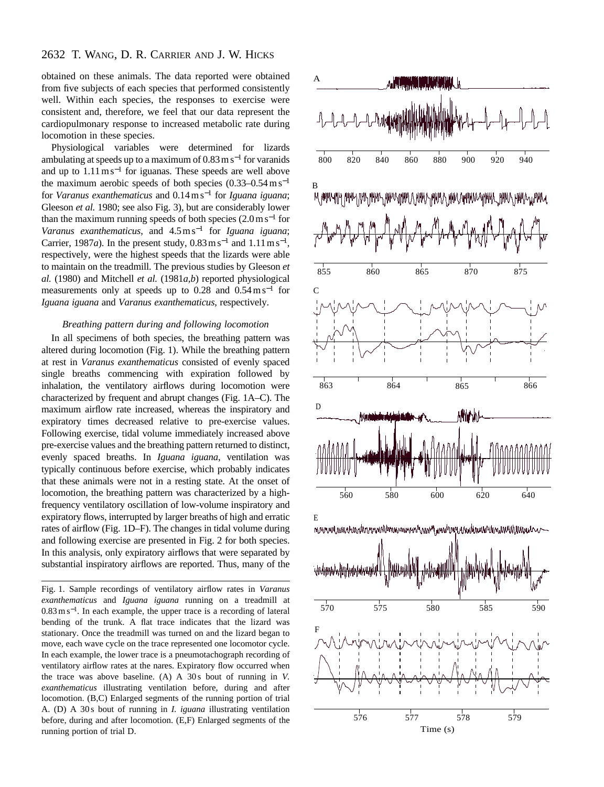## 2632 T. WANG, D. R. CARRIER AND J. W. HICKS

obtained on these animals. The data reported were obtained from five subjects of each species that performed consistently well. Within each species, the responses to exercise were consistent and, therefore, we feel that our data represent the cardiopulmonary response to increased metabolic rate during locomotion in these species.

Physiological variables were determined for lizards ambulating at speeds up to a maximum of  $0.83 \text{ m s}^{-1}$  for varanids and up to 1.11 m s−<sup>1</sup> for iguanas. These speeds are well above the maximum aerobic speeds of both species  $(0.33-0.54 \text{ m s}^{-1})$ for *Varanus exanthematicus* and 0.14 m s−<sup>1</sup> for *Iguana iguana*; Gleeson *et al.* 1980; see also Fig. 3), but are considerably lower than the maximum running speeds of both species  $(2.0 \text{ m s}^{-1}$  for *Varanus exanthematicus*, and 4.5 m s−<sup>1</sup> for *Iguana iguana*; Carrier, 1987*a*). In the present study,  $0.83 \text{ m s}^{-1}$  and  $1.11 \text{ m s}^{-1}$ , respectively, were the highest speeds that the lizards were able to maintain on the treadmill. The previous studies by Gleeson *et al.* (1980) and Mitchell *et al.* (1981*a*,*b*) reported physiological measurements only at speeds up to  $0.28$  and  $0.54 \text{ m s}^{-1}$  for *Iguana iguana* and *Varanus exanthematicus*, respectively.

#### *Breathing pattern during and following locomotion*

In all specimens of both species, the breathing pattern was altered during locomotion (Fig. 1). While the breathing pattern at rest in *Varanus exanthematicus* consisted of evenly spaced single breaths commencing with expiration followed by inhalation, the ventilatory airflows during locomotion were characterized by frequent and abrupt changes (Fig. 1A–C). The maximum airflow rate increased, whereas the inspiratory and expiratory times decreased relative to pre-exercise values. Following exercise, tidal volume immediately increased above pre-exercise values and the breathing pattern returned to distinct, evenly spaced breaths. In *Iguana iguana*, ventilation was typically continuous before exercise, which probably indicates that these animals were not in a resting state. At the onset of locomotion, the breathing pattern was characterized by a highfrequency ventilatory oscillation of low-volume inspiratory and expiratory flows, interrupted by larger breaths of high and erratic rates of airflow (Fig. 1D–F). The changes in tidal volume during and following exercise are presented in Fig. 2 for both species. In this analysis, only expiratory airflows that were separated by substantial inspiratory airflows are reported. Thus, many of the

Fig. 1. Sample recordings of ventilatory airflow rates in *Varanus exanthematicus* and *Iguana iguana* running on a treadmill at 0.83 m s<sup>−</sup>1. In each example, the upper trace is a recording of lateral bending of the trunk. A flat trace indicates that the lizard was stationary. Once the treadmill was turned on and the lizard began to move, each wave cycle on the trace represented one locomotor cycle. In each example, the lower trace is a pneumotachograph recording of ventilatory airflow rates at the nares. Expiratory flow occurred when the trace was above baseline. (A) A 30 s bout of running in *V. exanthematicus* illustrating ventilation before, during and after locomotion. (B,C) Enlarged segments of the running portion of trial A. (D) A 30 s bout of running in *I. iguana* illustrating ventilation before, during and after locomotion. (E,F) Enlarged segments of the running portion of trial D.

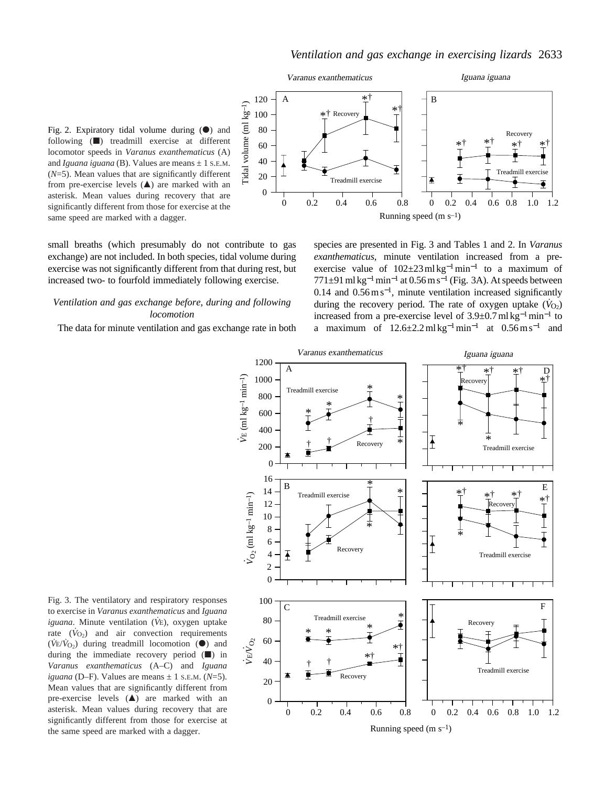

Fig. 2. Expiratory tidal volume during  $(①)$  and following  $(\blacksquare)$  treadmill exercise at different locomotor speeds in *Varanus exanthematicus* (A) and *Iguana iguana* (B). Values are means  $\pm$  1 s.e.m. (*N*=5). Mean values that are significantly different from pre-exercise levels  $($  $\blacktriangle)$  are marked with an asterisk. Mean values during recovery that are significantly different from those for exercise at the same speed are marked with a dagger.

small breaths (which presumably do not contribute to gas exchange) are not included. In both species, tidal volume during exercise was not significantly different from that during rest, but increased two- to fourfold immediately following exercise.

## *Ventilation and gas exchange before, during and following locomotion*

The data for minute ventilation and gas exchange rate in both





Fig. 3. The ventilatory and respiratory responses to exercise in *Varanus exanthematicus* and *Iguana iguana*. Minute ventilation (*V˙*E), oxygen uptake rate  $(\dot{V}_{\text{O}})$  and air convection requirements  $(\dot{V}_{E}/\dot{V}_{O2})$  during treadmill locomotion  $(\bullet)$  and during the immediate recovery period  $(\blacksquare)$  in *Varanus exanthematicus* (A–C) and *Iguana iguana* (D–F). Values are means  $\pm$  1 s.e.m. ( $N=5$ ). Mean values that are significantly different from pre-exercise levels  $($ ) are marked with an asterisk. Mean values during recovery that are significantly different from those for exercise at the same speed are marked with a dagger.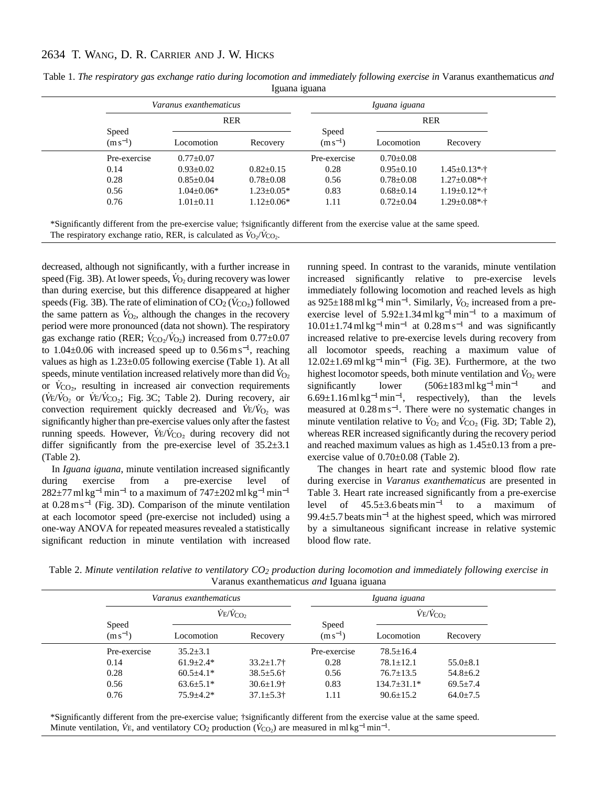# 2634 T. WANG, D. R. CARRIER AND J. W. HICKS

|                       | Varanus exanthematicus |                  | Iguana iguana         |                 |                     |  |
|-----------------------|------------------------|------------------|-----------------------|-----------------|---------------------|--|
|                       | <b>RER</b>             |                  |                       | <b>RER</b>      |                     |  |
| Speed<br>$(m s^{-1})$ | Locomotion             | Recovery         | Speed<br>$(m s^{-1})$ | Locomotion      | Recovery            |  |
| Pre-exercise          | $0.77 \pm 0.07$        |                  | Pre-exercise          | $0.70 \pm 0.08$ |                     |  |
| 0.14                  | $0.93 \pm 0.02$        | $0.82 \pm 0.15$  | 0.28                  | $0.95 \pm 0.10$ | $1.45 \pm 0.13$ *,† |  |
| 0.28                  | $0.85 \pm 0.04$        | $0.78 \pm 0.08$  | 0.56                  | $0.78 \pm 0.08$ | $1.27 \pm 0.08$ *,† |  |
| 0.56                  | $1.04 \pm 0.06*$       | $1.23 \pm 0.05*$ | 0.83                  | $0.68 \pm 0.14$ | $1.19 \pm 0.12$ *,† |  |
| 0.76                  | $1.01 \pm 0.11$        | $1.12 \pm 0.06*$ | 1.11                  | $0.72 \pm 0.04$ | $1.29 \pm 0.08$ *,† |  |

Table 1. *The respiratory gas exchange ratio during locomotion and immediately following exercise in* Varanus exanthematicus *and* Iguana iguana

\*Significantly different from the pre-exercise value; †significantly different from the exercise value at the same speed. The respiratory exchange ratio, RER, is calculated as  $\dot{V}_{O_2}/\dot{V}_{CO_2}$ .

decreased, although not significantly, with a further increase in speed (Fig. 3B). At lower speeds,  $\dot{V}_{\text{O}_2}$  during recovery was lower than during exercise, but this difference disappeared at higher speeds (Fig. 3B). The rate of elimination of  $CO_2$  ( $\dot{V}_{CO_2}$ ) followed the same pattern as  $\dot{V}_{\text{O}_2}$ , although the changes in the recovery period were more pronounced (data not shown). The respiratory gas exchange ratio (RER;  $\dot{V}_{\text{CO}_2}/\dot{V}_{\text{O}_2}$ ) increased from 0.77 $\pm$ 0.07 to  $1.04\pm0.06$  with increased speed up to  $0.56 \text{ m s}^{-1}$ , reaching values as high as 1.23±0.05 following exercise (Table 1). At all speeds, minute ventilation increased relatively more than did  $\dot{V}_{O_2}$ or  $V_{\text{CO}_2}$ , resulting in increased air convection requirements  $(\dot{V}E/\dot{V}_{O_2}$  or  $\dot{V}E/\dot{V}_{CO_2}$ ; Fig. 3C; Table 2). During recovery, air convection requirement quickly decreased and  $\dot{V}E/\dot{V}_{O_2}$  was significantly higher than pre-exercise values only after the fastest running speeds. However,  $\dot{V}E/\dot{V}_{CO_2}$  during recovery did not differ significantly from the pre-exercise level of 35.2±3.1 (Table 2).

In *Iguana iguana*, minute ventilation increased significantly during exercise from a pre-exercise level of  $282±77$  ml kg<sup>-1</sup> min<sup>-1</sup> to a maximum of  $747±202$  ml kg<sup>-1</sup> min<sup>-1</sup> at 0.28 m s−<sup>1</sup> (Fig. 3D). Comparison of the minute ventilation at each locomotor speed (pre-exercise not included) using a one-way ANOVA for repeated measures revealed a statistically significant reduction in minute ventilation with increased

running speed. In contrast to the varanids, minute ventilation increased significantly relative to pre-exercise levels immediately following locomotion and reached levels as high as 925±188 ml kg<sup>-1</sup> min<sup>-1</sup>. Similarly,  $\dot{V}_{O_2}$  increased from a preexercise level of 5.92±1.34 ml kg<sup>-1</sup>min<sup>-1</sup> to a maximum of  $10.01\pm1.74$  ml kg<sup>-1</sup>min<sup>-1</sup> at  $0.28$  m s<sup>-1</sup> and was significantly increased relative to pre-exercise levels during recovery from all locomotor speeds, reaching a maximum value of  $12.02\pm1.69$  ml kg<sup>-1</sup> min<sup>-1</sup> (Fig. 3E). Furthermore, at the two highest locomotor speeds, both minute ventilation and  $\dot{V}_{\Omega}$  were significantly lower  $(506\pm183 \text{ ml kg}^{-1} \text{ min}^{-1}$  and  $6.69\pm1.16$  ml kg<sup>-1</sup> min<sup>-1</sup>, respectively), than the levels measured at 0.28 m s<sup>−</sup>1. There were no systematic changes in minute ventilation relative to  $\dot{V}_{\text{O}_2}$  and  $\dot{V}_{\text{CO}_2}$  (Fig. 3D; Table 2), whereas RER increased significantly during the recovery period and reached maximum values as high as 1.45±0.13 from a preexercise value of 0.70±0.08 (Table 2).

The changes in heart rate and systemic blood flow rate during exercise in *Varanus exanthematicus* are presented in Table 3. Heart rate increased significantly from a pre-exercise level of 45.5±3.6 beats min−<sup>1</sup> to a maximum of 99.4±5.7 beats min−<sup>1</sup> at the highest speed, which was mirrored by a simultaneous significant increase in relative systemic blood flow rate.

Table 2. *Minute ventilation relative to ventilatory CO2 production during locomotion and immediately following exercise in* Varanus exanthematicus *and* Iguana iguana

|                       | Varanus exanthematicus      |                             |                       | Iguana iguana               |                |  |
|-----------------------|-----------------------------|-----------------------------|-----------------------|-----------------------------|----------------|--|
|                       | $\dot{V}E/\dot{V}_{\rm CO}$ |                             |                       | $\dot{V}E/\dot{V}_{\rm CO}$ |                |  |
| Speed<br>$(m s^{-1})$ | Locomotion                  | Recovery                    | Speed<br>$(m s^{-1})$ | Locomotion                  | Recovery       |  |
| Pre-exercise          | $35.2 \pm 3.1$              |                             | Pre-exercise          | $78.5 \pm 16.4$             |                |  |
| 0.14                  | $61.9 \pm 2.4*$             | $33.2 \pm 1.7$              | 0.28                  | $78.1 \pm 12.1$             | $55.0 \pm 8.1$ |  |
| 0.28                  | $60.5 \pm 4.1*$             | $38.5 \pm 5.6$ †            | 0.56                  | $76.7 \pm 13.5$             | $54.8 \pm 6.2$ |  |
| 0.56                  | $63.6 \pm 5.1*$             | $30.6 \pm 1.9$ <sup>+</sup> | 0.83                  | $134.7 \pm 31.1*$           | $69.5 \pm 7.4$ |  |
| 0.76                  | $75.9 + 4.2*$               | $37.1 \pm 5.3$ <sup>+</sup> | 1.11                  | $90.6 \pm 15.2$             | $64.0 \pm 7.5$ |  |

\*Significantly different from the pre-exercise value; †significantly different from the exercise value at the same speed. Minute ventilation,  $\dot{V}E$ , and ventilatory CO<sub>2</sub> production ( $\dot{V}_{CO_2}$ ) are measured in ml kg<sup>-1</sup> min<sup>-1</sup>.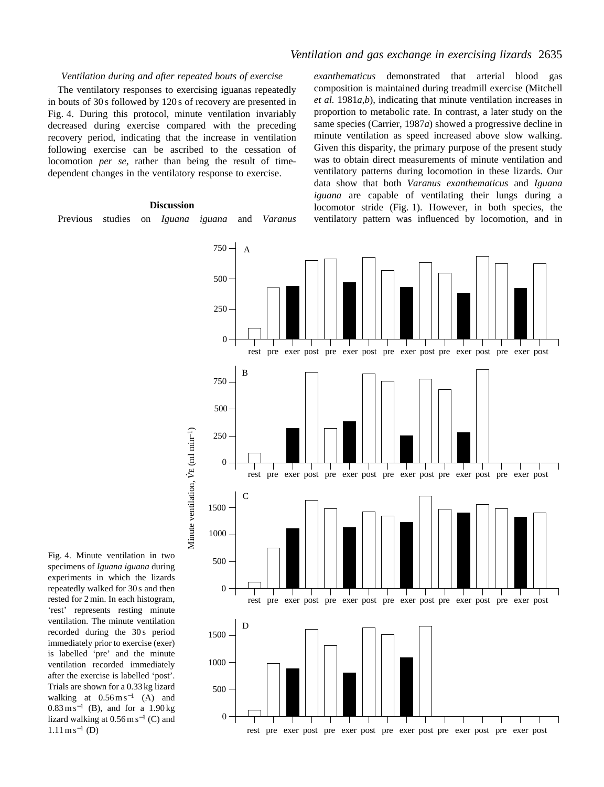# *Ventilation and gas exchange in exercising lizards* 2635

### *Ventilation during and after repeated bouts of exercise*

The ventilatory responses to exercising iguanas repeatedly in bouts of 30 s followed by 120 s of recovery are presented in Fig. 4. During this protocol, minute ventilation invariably decreased during exercise compared with the preceding recovery period, indicating that the increase in ventilation following exercise can be ascribed to the cessation of locomotion *per se*, rather than being the result of timedependent changes in the ventilatory response to exercise.

### **Discussion**

Previous studies on *Iguana iguana* and *Varanus*

*exanthematicus* demonstrated that arterial blood gas composition is maintained during treadmill exercise (Mitchell *et al.* 1981*a*,*b*), indicating that minute ventilation increases in proportion to metabolic rate. In contrast, a later study on the same species (Carrier, 1987*a*) showed a progressive decline in minute ventilation as speed increased above slow walking. Given this disparity, the primary purpose of the present study was to obtain direct measurements of minute ventilation and ventilatory patterns during locomotion in these lizards. Our data show that both *Varanus exanthematicus* and *Iguana iguana* are capable of ventilating their lungs during a locomotor stride (Fig. 1). However, in both species, the ventilatory pattern was influenced by locomotion, and in



Fig. 4. Minute ventilation in two specimens of *Iguana iguana* during experiments in which the lizards repeatedly walked for 30 s and then rested for 2 min. In each histogram, 'rest' represents resting minute ventilation. The minute ventilation recorded during the 30s period immediately prior to exercise (exer) is labelled 'pre' and the minute ventilation recorded immediately after the exercise is labelled 'post'. Trials are shown for a 0.33 kg lizard walking at  $0.56 \text{ m s}^{-1}$  (A) and  $0.83 \text{ m s}^{-1}$  (B), and for a 1.90 kg lizard walking at  $0.56$  m s<sup>-1</sup> (C) and  $1.11 \text{ m s}^{-1}$  (D)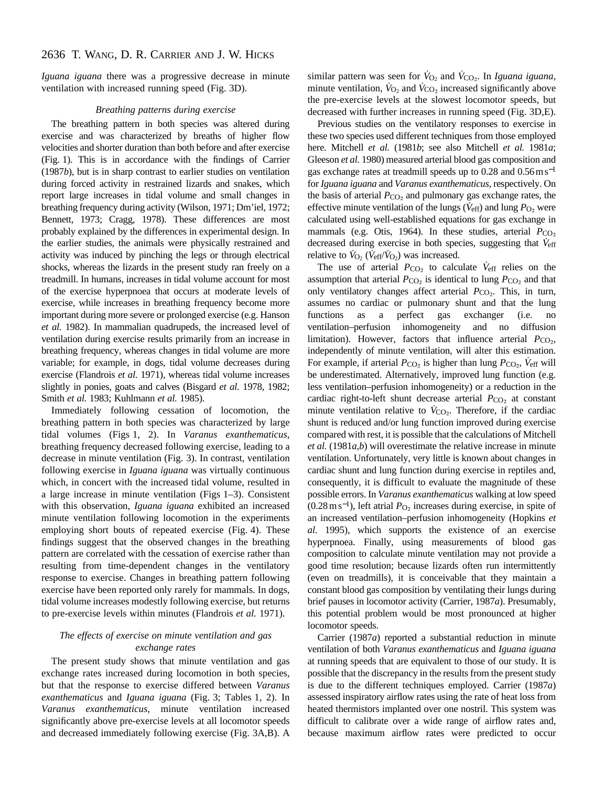*Iguana iguana* there was a progressive decrease in minute ventilation with increased running speed (Fig. 3D).

#### *Breathing patterns during exercise*

The breathing pattern in both species was altered during exercise and was characterized by breaths of higher flow velocities and shorter duration than both before and after exercise (Fig. 1). This is in accordance with the findings of Carrier (1987*b*), but is in sharp contrast to earlier studies on ventilation during forced activity in restrained lizards and snakes, which report large increases in tidal volume and small changes in breathing frequency during activity (Wilson, 1971; Dm'iel, 1972; Bennett, 1973; Cragg, 1978). These differences are most probably explained by the differences in experimental design. In the earlier studies, the animals were physically restrained and activity was induced by pinching the legs or through electrical shocks, whereas the lizards in the present study ran freely on a treadmill. In humans, increases in tidal volume account for most of the exercise hyperpnoea that occurs at moderate levels of exercise, while increases in breathing frequency become more important during more severe or prolonged exercise (e.g. Hanson *et al.* 1982). In mammalian quadrupeds, the increased level of ventilation during exercise results primarily from an increase in breathing frequency, whereas changes in tidal volume are more variable; for example, in dogs, tidal volume decreases during exercise (Flandrois *et al.* 1971), whereas tidal volume increases slightly in ponies, goats and calves (Bisgard *et al.* 1978, 1982; Smith *et al.* 1983; Kuhlmann *et al.* 1985).

Immediately following cessation of locomotion, the breathing pattern in both species was characterized by large tidal volumes (Figs 1, 2). In *Varanus exanthematicus*, breathing frequency decreased following exercise, leading to a decrease in minute ventilation (Fig. 3). In contrast, ventilation following exercise in *Iguana iguana* was virtually continuous which, in concert with the increased tidal volume, resulted in a large increase in minute ventilation (Figs 1–3). Consistent with this observation, *Iguana iguana* exhibited an increased minute ventilation following locomotion in the experiments employing short bouts of repeated exercise (Fig. 4). These findings suggest that the observed changes in the breathing pattern are correlated with the cessation of exercise rather than resulting from time-dependent changes in the ventilatory response to exercise. Changes in breathing pattern following exercise have been reported only rarely for mammals. In dogs, tidal volume increases modestly following exercise, but returns to pre-exercise levels within minutes (Flandrois *et al.* 1971).

### *The effects of exercise on minute ventilation and gas exchange rates*

The present study shows that minute ventilation and gas exchange rates increased during locomotion in both species, but that the response to exercise differed between *Varanus exanthematicus* and *Iguana iguana* (Fig. 3; Tables 1, 2). In *Varanus exanthematicus*, minute ventilation increased significantly above pre-exercise levels at all locomotor speeds and decreased immediately following exercise (Fig. 3A,B). A similar pattern was seen for  $V_{O_2}$  and  $V_{CO_2}$ . In *Iguana iguana*, minute ventilation,  $\dot{V}_{\text{O}_2}$  and  $\dot{V}_{\text{CO}_2}$  increased significantly above the pre-exercise levels at the slowest locomotor speeds, but decreased with further increases in running speed (Fig. 3D,E).

Previous studies on the ventilatory responses to exercise in these two species used different techniques from those employed here. Mitchell *et al.* (1981*b*; see also Mitchell *et al.* 1981*a*; Gleeson *et al.* 1980) measured arterial blood gas composition and gas exchange rates at treadmill speeds up to  $0.28$  and  $0.56 \text{ m s}^{-1}$ for *Iguana iguana* and *Varanus exanthematicus*, respectively. On the basis of arterial  $P_{CO<sub>2</sub>}$  and pulmonary gas exchange rates, the effective minute ventilation of the lungs ( $\dot{V}_{\text{eff}}$ ) and lung  $P_{\text{O}_2}$  were calculated using well-established equations for gas exchange in mammals (e.g. Otis, 1964). In these studies, arterial *P*CO<sub>2</sub> decreased during exercise in both species, suggesting that  $V_{\text{eff}}$ relative to  $\dot{V}_{O_2}$  ( $\dot{V}_{eff}/\dot{V}_{O_2}$ ) was increased.

The use of arterial  $P_{CO_2}$  to calculate  $\dot{V}_{eff}$  relies on the assumption that arterial  $P_{\text{CO}_2}$  is identical to lung  $P_{\text{CO}_2}$  and that only ventilatory changes affect arterial  $P_{CO_2}$ . This, in turn, assumes no cardiac or pulmonary shunt and that the lung functions as a perfect gas exchanger (i.e. no ventilation–perfusion inhomogeneity and no diffusion limitation). However, factors that influence arterial  $P_{\text{CO}_2}$ , independently of minute ventilation, will alter this estimation. For example, if arterial  $P_{\text{CO}_2}$  is higher than lung  $P_{\text{CO}_2}$ ,  $\dot{V}_{\text{eff}}$  will be underestimated. Alternatively, improved lung function (e.g. less ventilation–perfusion inhomogeneity) or a reduction in the cardiac right-to-left shunt decrease arterial  $P_{CO_2}$  at constant minute ventilation relative to  $V_{CO<sub>2</sub>}$ . Therefore, if the cardiac shunt is reduced and/or lung function improved during exercise compared with rest, it is possible that the calculations of Mitchell *et al.* (1981*a*,*b*) will overestimate the relative increase in minute ventilation. Unfortunately, very little is known about changes in cardiac shunt and lung function during exercise in reptiles and, consequently, it is difficult to evaluate the magnitude of these possible errors. In *Varanus exanthematicus* walking at low speed  $(0.28 \,\mathrm{m\,s^{-1}})$ , left atrial  $P_{\mathrm{O}_2}$  increases during exercise, in spite of an increased ventilation–perfusion inhomogeneity (Hopkins *et al.* 1995), which supports the existence of an exercise hyperpnoea. Finally, using measurements of blood gas composition to calculate minute ventilation may not provide a good time resolution; because lizards often run intermittently (even on treadmills), it is conceivable that they maintain a constant blood gas composition by ventilating their lungs during brief pauses in locomotor activity (Carrier, 1987*a*). Presumably, this potential problem would be most pronounced at higher locomotor speeds.

Carrier (1987*a*) reported a substantial reduction in minute ventilation of both *Varanus exanthematicus* and *Iguana iguana* at running speeds that are equivalent to those of our study. It is possible that the discrepancy in the results from the present study is due to the different techniques employed. Carrier (1987*a*) assessed inspiratory airflow rates using the rate of heat loss from heated thermistors implanted over one nostril. This system was difficult to calibrate over a wide range of airflow rates and, because maximum airflow rates were predicted to occur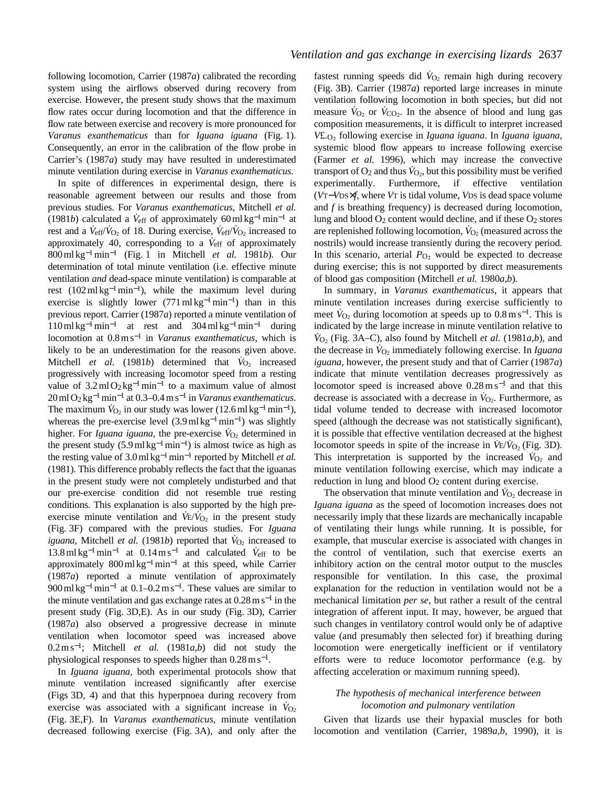following locomotion, Carrier (1987*a*) calibrated the recording system using the airflows observed during recovery from exercise. However, the present study shows that the maximum flow rates occur during locomotion and that the difference in flow rate between exercise and recovery is more pronounced for *Varanus exanthematicus* than for *Iguana iguana* (Fig. 1). Consequently, an error in the calibration of the flow probe in Carrier's (1987*a*) study may have resulted in underestimated minute ventilation during exercise in *Varanus exanthematicus*.

In spite of differences in experimental design, there is reasonable agreement between our results and those from previous studies. For *Varanus exanthematicus*, Mitchell *et al.* (1981*b*) calculated a  $\dot{V}_{\text{eff}}$  of approximately 60 ml kg<sup>-1</sup>min<sup>-1</sup> at rest and a  $V_{\text{eff}}/V_{\text{O}_2}$  of 18. During exercise,  $V_{\text{eff}}/V_{\text{O}_2}$  increased to approximately 40, corresponding to a *V˙*eff of approximately 800 ml kg<sup>−</sup>1min−<sup>1</sup> (Fig. 1 in Mitchell *et al.* 1981*b*). Our determination of total minute ventilation (i.e. effective minute ventilation *and* dead-space minute ventilation) is comparable at rest  $(102 \text{ ml kg}^{-1} \text{ min}^{-1})$ , while the maximum level during exercise is slightly lower  $(771 \text{ ml kg}^{-1} \text{ min}^{-1})$  than in this previous report. Carrier (1987*a*) reported a minute ventilation of  $110 \text{ ml kg}^{-1} \text{ min}^{-1}$  at rest and  $304 \text{ ml kg}^{-1} \text{ min}^{-1}$  during locomotion at 0.8 m s−<sup>1</sup> in *Varanus exanthematicus*, which is likely to be an underestimation for the reasons given above. Mitchell *et al.* (1981*b*) determined that  $\dot{V}_{\text{O}_2}$  increased progressively with increasing locomotor speed from a resting value of  $3.2 \text{ ml O}_2 \text{kg}^{-1} \text{min}^{-1}$  to a maximum value of almost 20 ml O2 kg<sup>−</sup>1min−<sup>1</sup> at 0.3–0.4 m s−<sup>1</sup> in *Varanus exanthematicus*. The maximum  $\dot{V}_{O_2}$  in our study was lower (12.6 ml kg<sup>-1</sup> min<sup>-1</sup>), whereas the pre-exercise level  $(3.9 \text{ ml kg}^{-1} \text{min}^{-1})$  was slightly higher. For *Iguana iguana*, the pre-exercise  $\dot{V}_{O_2}$  determined in the present study  $(5.9 \text{ ml kg}^{-1} \text{ min}^{-1})$  is almost twice as high as the resting value of  $3.0 \text{ ml kg}^{-1}$  min<sup>-1</sup> reported by Mitchell *et al.* (1981). This difference probably reflects the fact that the iguanas in the present study were not completely undisturbed and that our pre-exercise condition did not resemble true resting conditions. This explanation is also supported by the high preexercise minute ventilation and  $\dot{V}_{E}/\dot{V}_{O_2}$  in the present study (Fig. 3F) compared with the previous studies. For *Iguana iguana*, Mitchell *et al.* (1981*b*) reported that  $\dot{V}_{O_2}$  increased to  $13.8 \text{ ml kg}^{-1} \text{ min}^{-1}$  at  $0.14 \text{ m s}^{-1}$  and calculated  $\dot{V}_{\text{eff}}$  to be approximately  $800 \text{ ml kg}^{-1}$ min<sup>-1</sup> at this speed, while Carrier (1987*a*) reported a minute ventilation of approximately 900 ml kg<sup>-1</sup> min<sup>-1</sup> at  $0.1$ – $0.2$  m s<sup>-1</sup>. These values are similar to the minute ventilation and gas exchange rates at  $0.28 \text{ m s}^{-1}$  in the present study (Fig. 3D,E). As in our study (Fig. 3D), Carrier (1987*a*) also observed a progressive decrease in minute ventilation when locomotor speed was increased above 0.2 m s<sup>−</sup>1; Mitchell *et al.* (1981*a*,*b*) did not study the physiological responses to speeds higher than  $0.28 \text{ m s}^{-1}$ .

In *Iguana iguana*, both experimental protocols show that minute ventilation increased significantly after exercise (Figs 3D, 4) and that this hyperpnoea during recovery from exercise was associated with a significant increase in  $V_{\text{O}_2}$ (Fig. 3E,F). In *Varanus exanthematicus*, minute ventilation decreased following exercise (Fig. 3A), and only after the

fastest running speeds did  $V_{O_2}$  remain high during recovery (Fig. 3B). Carrier (1987*a*) reported large increases in minute ventilation following locomotion in both species, but did not measure  $\dot{V}_{O_2}$  or  $\dot{V}_{CO_2}$ . In the absence of blood and lung gas composition measurements, it is difficult to interpret increased *V*£.O∑ following exercise in *Iguana iguana*. In *Iguana iguana*, systemic blood flow appears to increase following exercise (Farmer *et al.* 1996), which may increase the convective transport of  $O_2$  and thus  $\dot{V}_{O_2}$ , but this possibility must be verified experimentally. Furthermore, if effective ventilation (*V*T−*V*DS×*f*, where *V*T is tidal volume, *V*DS is dead space volume and *f* is breathing frequency) is decreased during locomotion, lung and blood  $O_2$  content would decline, and if these  $O_2$  stores are replenished following locomotion,  $\dot{V}_{O_2}$  (measured across the nostrils) would increase transiently during the recovery period. In this scenario, arterial  $P<sub>O<sub>2</sub></sub>$  would be expected to decrease during exercise; this is not supported by direct measurements of blood gas composition (Mitchell *et al.* 1980*a*,*b*).

In summary, in *Varanus exanthematicus*, it appears that minute ventilation increases during exercise sufficiently to meet  $V_{\text{O}_2}$  during locomotion at speeds up to  $0.8 \text{ m s}^{-1}$ . This is indicated by the large increase in minute ventilation relative to  $\dot{V}_{\text{O}_2}$  (Fig. 3A–C), also found by Mitchell *et al.* (1981*a*,*b*), and the decrease in *V˙*O2 immediately following exercise. In *Iguana iguana*, however, the present study and that of Carrier (1987*a*) indicate that minute ventilation decreases progressively as locomotor speed is increased above 0.28 m s−<sup>1</sup> and that this decrease is associated with a decrease in  $\dot{V}_{\text{O}_2}$ . Furthermore, as tidal volume tended to decrease with increased locomotor speed (although the decrease was not statistically significant), it is possible that effective ventilation decreased at the highest locomotor speeds in spite of the increase in  $\frac{\dot{V}}{\dot{V}}\dot{V}_{Q_2}$  (Fig. 3D). This interpretation is supported by the increased  $\dot{V}_{\text{O}_2}$  and minute ventilation following exercise, which may indicate a reduction in lung and blood O<sub>2</sub> content during exercise.

The observation that minute ventilation and  $\dot{V}_{\Omega}$  decrease in *Iguana iguana* as the speed of locomotion increases does not necessarily imply that these lizards are mechanically incapable of ventilating their lungs while running. It is possible, for example, that muscular exercise is associated with changes in the control of ventilation, such that exercise exerts an inhibitory action on the central motor output to the muscles responsible for ventilation. In this case, the proximal explanation for the reduction in ventilation would not be a mechanical limitation *per se*, but rather a result of the central integration of afferent input. It may, however, be argued that such changes in ventilatory control would only be of adaptive value (and presumably then selected for) if breathing during locomotion were energetically inefficient or if ventilatory efforts were to reduce locomotor performance (e.g. by affecting acceleration or maximum running speed).

### *The hypothesis of mechanical interference between locomotion and pulmonary ventilation*

Given that lizards use their hypaxial muscles for both locomotion and ventilation (Carrier, 1989*a*,*b*, 1990), it is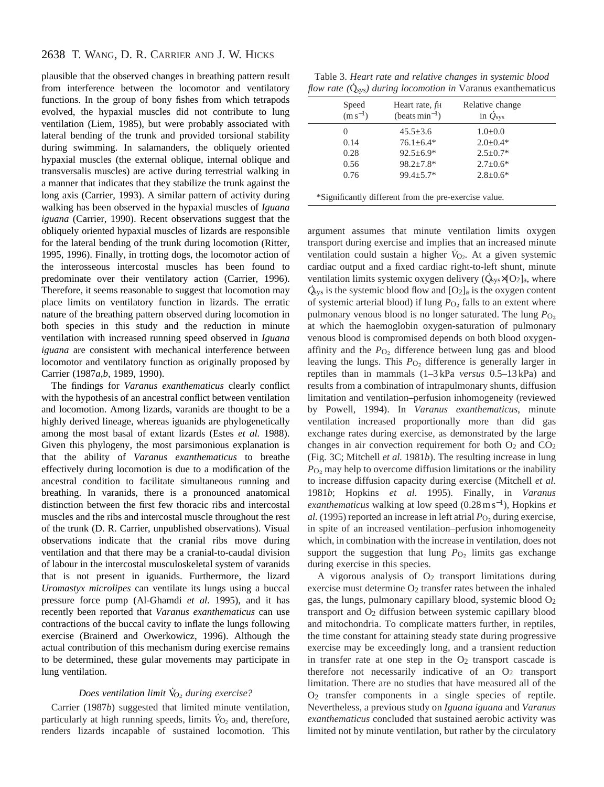## 2638 T. WANG, D. R. CARRIER AND J. W. HICKS

plausible that the observed changes in breathing pattern result from interference between the locomotor and ventilatory functions. In the group of bony fishes from which tetrapods evolved, the hypaxial muscles did not contribute to lung ventilation (Liem, 1985), but were probably associated with lateral bending of the trunk and provided torsional stability during swimming. In salamanders, the obliquely oriented hypaxial muscles (the external oblique, internal oblique and transversalis muscles) are active during terrestrial walking in a manner that indicates that they stabilize the trunk against the long axis (Carrier, 1993). A similar pattern of activity during walking has been observed in the hypaxial muscles of *Iguana iguana* (Carrier, 1990). Recent observations suggest that the obliquely oriented hypaxial muscles of lizards are responsible for the lateral bending of the trunk during locomotion (Ritter, 1995, 1996). Finally, in trotting dogs, the locomotor action of the interosseous intercostal muscles has been found to predominate over their ventilatory action (Carrier, 1996). Therefore, it seems reasonable to suggest that locomotion may place limits on ventilatory function in lizards. The erratic nature of the breathing pattern observed during locomotion in both species in this study and the reduction in minute ventilation with increased running speed observed in *Iguana iguana* are consistent with mechanical interference between locomotor and ventilatory function as originally proposed by Carrier (1987*a*,*b*, 1989, 1990).

The findings for *Varanus exanthematicus* clearly conflict with the hypothesis of an ancestral conflict between ventilation and locomotion. Among lizards, varanids are thought to be a highly derived lineage, whereas iguanids are phylogenetically among the most basal of extant lizards (Estes *et al.* 1988). Given this phylogeny, the most parsimonious explanation is that the ability of *Varanus exanthematicus* to breathe effectively during locomotion is due to a modification of the ancestral condition to facilitate simultaneous running and breathing. In varanids, there is a pronounced anatomical distinction between the first few thoracic ribs and intercostal muscles and the ribs and intercostal muscle throughout the rest of the trunk (D. R. Carrier, unpublished observations). Visual observations indicate that the cranial ribs move during ventilation and that there may be a cranial-to-caudal division of labour in the intercostal musculoskeletal system of varanids that is not present in iguanids. Furthermore, the lizard *Uromastyx microlipes* can ventilate its lungs using a buccal pressure force pump (Al-Ghamdi *et al.* 1995), and it has recently been reported that *Varanus exanthematicus* can use contractions of the buccal cavity to inflate the lungs following exercise (Brainerd and Owerkowicz, 1996). Although the actual contribution of this mechanism during exercise remains to be determined, these gular movements may participate in lung ventilation.

# *Does ventilation limit* V *· O*<sup>∑</sup> *during exercise?*

Carrier (1987*b*) suggested that limited minute ventilation, particularly at high running speeds, limits  $\dot{V}_{O_2}$  and, therefore, renders lizards incapable of sustained locomotion. This

Table 3. *Heart rate and relative changes in systemic blood* . *flow rate (*Q *sys) during locomotion in* Varanus exanthematicus

| Speed<br>$(m s^{-1})$ | Heart rate, f <sub>H</sub><br>$(beats min-1)$         | Relative change<br>in $\dot{Q}_{\rm sys}$ |  |
|-----------------------|-------------------------------------------------------|-------------------------------------------|--|
| $\theta$              | $45.5 \pm 3.6$                                        | $1.0 \pm 0.0$                             |  |
| 0.14                  | $76.1 \pm 6.4*$                                       | $2.0 \pm 0.4*$                            |  |
| 0.28                  | $92.5 \pm 6.9*$                                       | $2.5 \pm 0.7*$                            |  |
| 0.56                  | $98.2 \pm 7.8^*$                                      | $2.7 \pm 0.6*$                            |  |
| 0.76                  | $99.4 \pm 5.7*$                                       | $2.8 \pm 0.6*$                            |  |
|                       |                                                       |                                           |  |
|                       | *Significantly different from the pre-exercise value. |                                           |  |

argument assumes that minute ventilation limits oxygen transport during exercise and implies that an increased minute ventilation could sustain a higher  $V_{O_2}$ . At a given systemic cardiac output and a fixed cardiac right-to-left shunt, minute . ventilation limits systemic oxygen delivery ( $\dot{Q}_{sys} \times [O_2]_a$ , where  $\dot{Q}_{sys}$  is the systemic blood flow and  $[O_2]_a$  is the oxygen content of systemic arterial blood) if lung *P*<sub>O2</sub> falls to an extent where pulmonary venous blood is no longer saturated. The lung  $P_{\text{O}_2}$ at which the haemoglobin oxygen-saturation of pulmonary venous blood is compromised depends on both blood oxygenaffinity and the  $P_{\text{O}_2}$  difference between lung gas and blood leaving the lungs. This *P*<sub>O2</sub> difference is generally larger in reptiles than in mammals (1–3 kPa *versus* 0.5–13 kPa) and results from a combination of intrapulmonary shunts, diffusion limitation and ventilation–perfusion inhomogeneity (reviewed by Powell, 1994). In *Varanus exanthematicus*, minute ventilation increased proportionally more than did gas exchange rates during exercise, as demonstrated by the large changes in air convection requirement for both  $O_2$  and  $CO_2$ (Fig. 3C; Mitchell *et al.* 1981*b*). The resulting increase in lung  $P_{\text{O}_2}$  may help to overcome diffusion limitations or the inability to increase diffusion capacity during exercise (Mitchell *et al.* 1981*b*; Hopkins *et al.* 1995). Finally, in *Varanus exanthematicus* walking at low speed (0.28 m s<sup>−</sup>1), Hopkins *et al.* (1995) reported an increase in left atrial  $P_{\text{O}_2}$  during exercise, in spite of an increased ventilation–perfusion inhomogeneity which, in combination with the increase in ventilation, does not support the suggestion that lung  $P_{\text{O}_2}$  limits gas exchange during exercise in this species.

A vigorous analysis of  $O<sub>2</sub>$  transport limitations during exercise must determine  $O_2$  transfer rates between the inhaled gas, the lungs, pulmonary capillary blood, systemic blood  $O_2$ transport and O2 diffusion between systemic capillary blood and mitochondria. To complicate matters further, in reptiles, the time constant for attaining steady state during progressive exercise may be exceedingly long, and a transient reduction in transfer rate at one step in the  $O<sub>2</sub>$  transport cascade is therefore not necessarily indicative of an  $O<sub>2</sub>$  transport limitation. There are no studies that have measured all of the O2 transfer components in a single species of reptile. Nevertheless, a previous study on *Iguana iguana* and *Varanus exanthematicus* concluded that sustained aerobic activity was limited not by minute ventilation, but rather by the circulatory